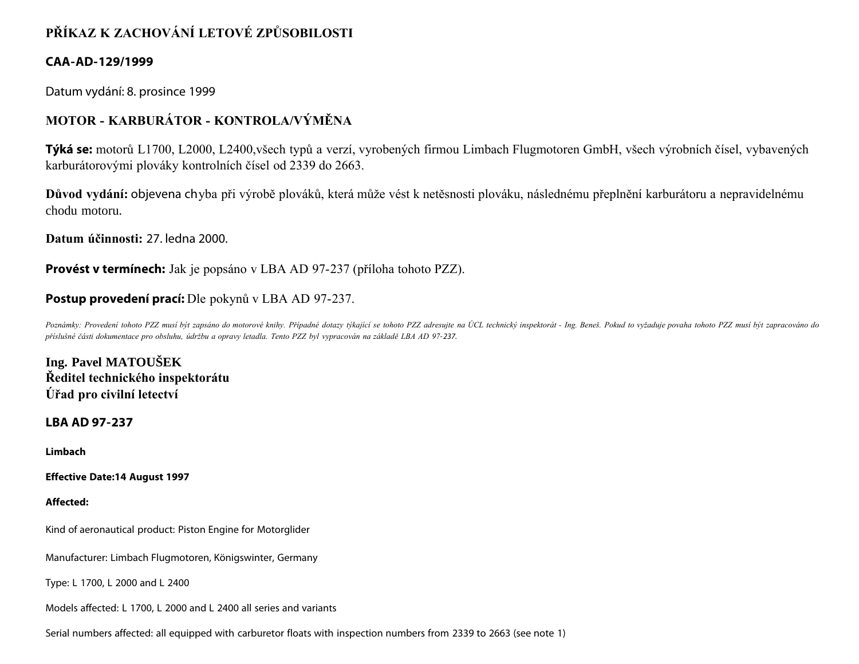# **PŘÍKAZ K ZACHOVÁNÍ LETOVÉ ZPŮSOBILOSTI**

## **CAA-AD-129/1999**

Datum vydání: 8. prosince 1999

## **MOTOR - KARBURÁTOR - KONTROLA/VÝMĚNA**

**Týká se:** motorů L1700, L2000, L2400,všech typů a verzí, vyrobených firmou Limbach Flugmotoren GmbH, všech výrobních čísel, vybavených karburátorovými plováky kontrolních čísel od 2339 do 2663.

**Důvod vydání:** objevena chyba při výrobě plováků, která může vést k netěsnosti plováku, následnému přeplnění karburátoru a nepravidelnému chodu motoru.

**Datum účinnosti:** 27. ledna 2000.

**Provést v termínech:** Jak je popsáno v LBA AD 97-237 (příloha tohoto PZZ).

## **Postup provedení prací:** Dle pokynů v LBA AD 97-237.

Poznámky: Provedení tohoto PZZ musí být zapsáno do motorové knihy. Případné dotazy týkající se tohoto PZZ adresujte na ÚCL technický inspektorát - Ing. Beneš. Pokud to vyžaduje povaha tohoto PZZ musí být zapracováno do *příslušné části dokumentace pro obsluhu, údržbu a opravy letadla. Tento PZZ byl vypracován na základě LBA AD 97-237.*

**Ing. Pavel MATOUŠEK Ředitel technického inspektorátu Úřad pro civilní letectví**

### **LBA AD 97-237**

**Limbach**

**Effective Date:14 August 1997**

**Affected:**

Kind of aeronautical product: Piston Engine for Motorglider

Manufacturer: Limbach Flugmotoren, Königswinter, Germany

Type: L 1700, L 2000 and L 2400

Models affected: L 1700, L 2000 and L 2400 all series and variants

Serial numbers affected: all equipped with carburetor floats with inspection numbers from 2339 to 2663 (see note 1)